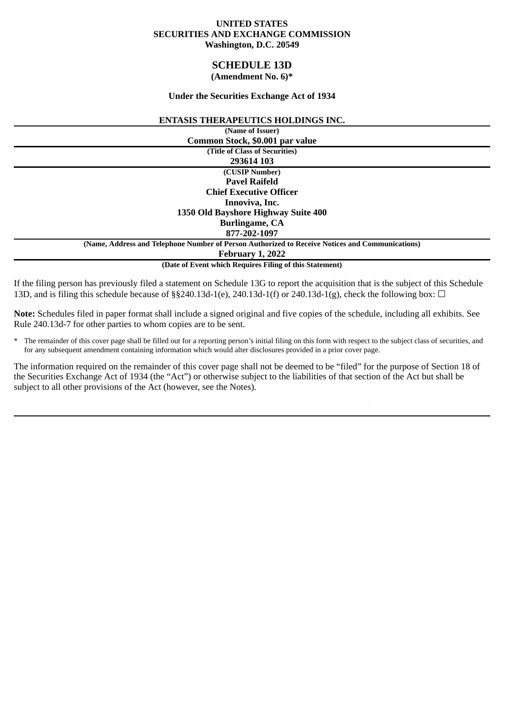#### **UNITED STATES SECURITIES AND EXCHANGE COMMISSION Washington, D.C. 20549**

# **SCHEDULE 13D**

## **(Amendment No. 6)\***

#### **Under the Securities Exchange Act of 1934**

### **ENTASIS THERAPEUTICS HOLDINGS INC.**

| (Name of Issuer)                                                                                |
|-------------------------------------------------------------------------------------------------|
| Common Stock, \$0.001 par value                                                                 |
| (Title of Class of Securities)                                                                  |
| 293614 103                                                                                      |
| (CUSIP Number)                                                                                  |
| <b>Pavel Raifeld</b>                                                                            |
| <b>Chief Executive Officer</b>                                                                  |
| Innoviva, Inc.                                                                                  |
| 1350 Old Bayshore Highway Suite 400                                                             |
| <b>Burlingame, CA</b>                                                                           |
| 877-202-1097                                                                                    |
| (Name, Address and Telephone Number of Person Authorized to Receive Notices and Communications) |
| <b>February 1, 2022</b>                                                                         |
| (Date of Event which Requires Filing of this Statement)                                         |

**(Date of Event which Requires Filing of this Statement)**

If the filing person has previously filed a statement on Schedule 13G to report the acquisition that is the subject of this Schedule 13D, and is filing this schedule because of §§240.13d-1(e), 240.13d-1(f) or 240.13d-1(g), check the following box:  $\Box$ 

**Note:** Schedules filed in paper format shall include a signed original and five copies of the schedule, including all exhibits. See Rule 240.13d-7 for other parties to whom copies are to be sent.

\* The remainder of this cover page shall be filled out for a reporting person's initial filing on this form with respect to the subject class of securities, and for any subsequent amendment containing information which would alter disclosures provided in a prior cover page.

The information required on the remainder of this cover page shall not be deemed to be "filed" for the purpose of Section 18 of the Securities Exchange Act of 1934 (the "Act") or otherwise subject to the liabilities of that section of the Act but shall be subject to all other provisions of the Act (however, see the Notes).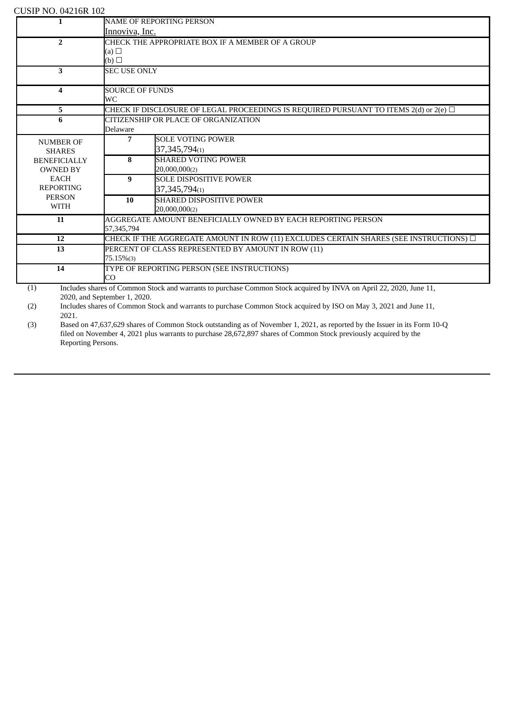| <b>CUSIP NO. 04216R 102</b>  |                                                                                                                                                   |                                                                                                                                                                                                                                                                                                                                                                                      |  |  |  |
|------------------------------|---------------------------------------------------------------------------------------------------------------------------------------------------|--------------------------------------------------------------------------------------------------------------------------------------------------------------------------------------------------------------------------------------------------------------------------------------------------------------------------------------------------------------------------------------|--|--|--|
| 1                            |                                                                                                                                                   | <b>NAME OF REPORTING PERSON</b>                                                                                                                                                                                                                                                                                                                                                      |  |  |  |
|                              |                                                                                                                                                   | <u>Innoviva, Inc.</u>                                                                                                                                                                                                                                                                                                                                                                |  |  |  |
| $\overline{2}$               |                                                                                                                                                   | CHECK THE APPROPRIATE BOX IF A MEMBER OF A GROUP                                                                                                                                                                                                                                                                                                                                     |  |  |  |
|                              | (a)                                                                                                                                               |                                                                                                                                                                                                                                                                                                                                                                                      |  |  |  |
|                              |                                                                                                                                                   | (b)                                                                                                                                                                                                                                                                                                                                                                                  |  |  |  |
| 3                            |                                                                                                                                                   | <b>SEC USE ONLY</b>                                                                                                                                                                                                                                                                                                                                                                  |  |  |  |
| 4                            |                                                                                                                                                   | <b>SOURCE OF FUNDS</b>                                                                                                                                                                                                                                                                                                                                                               |  |  |  |
|                              | WC                                                                                                                                                |                                                                                                                                                                                                                                                                                                                                                                                      |  |  |  |
| 5                            |                                                                                                                                                   | CHECK IF DISCLOSURE OF LEGAL PROCEEDINGS IS REQUIRED PURSUANT TO ITEMS 2(d) or 2(e) $\Box$                                                                                                                                                                                                                                                                                           |  |  |  |
| 6                            |                                                                                                                                                   | CITIZENSHIP OR PLACE OF ORGANIZATION                                                                                                                                                                                                                                                                                                                                                 |  |  |  |
|                              | <b>Delaware</b>                                                                                                                                   |                                                                                                                                                                                                                                                                                                                                                                                      |  |  |  |
| <b>NUMBER OF</b>             | 7                                                                                                                                                 | <b>SOLE VOTING POWER</b>                                                                                                                                                                                                                                                                                                                                                             |  |  |  |
| <b>SHARES</b>                |                                                                                                                                                   | 37, 345, 794(1)                                                                                                                                                                                                                                                                                                                                                                      |  |  |  |
| <b>BENEFICIALLY</b>          | 8                                                                                                                                                 | <b>SHARED VOTING POWER</b>                                                                                                                                                                                                                                                                                                                                                           |  |  |  |
| <b>OWNED BY</b>              |                                                                                                                                                   | 20,000,000(2)                                                                                                                                                                                                                                                                                                                                                                        |  |  |  |
| <b>EACH</b>                  | 9                                                                                                                                                 | <b>SOLE DISPOSITIVE POWER</b>                                                                                                                                                                                                                                                                                                                                                        |  |  |  |
| <b>REPORTING</b>             |                                                                                                                                                   | 37, 345, 794(1)                                                                                                                                                                                                                                                                                                                                                                      |  |  |  |
| <b>PERSON</b><br><b>WITH</b> | 10                                                                                                                                                | <b>SHARED DISPOSITIVE POWER</b>                                                                                                                                                                                                                                                                                                                                                      |  |  |  |
|                              |                                                                                                                                                   | 20,000,000(2)                                                                                                                                                                                                                                                                                                                                                                        |  |  |  |
| 11                           |                                                                                                                                                   | AGGREGATE AMOUNT BENEFICIALLY OWNED BY EACH REPORTING PERSON                                                                                                                                                                                                                                                                                                                         |  |  |  |
|                              | 57,345,794                                                                                                                                        |                                                                                                                                                                                                                                                                                                                                                                                      |  |  |  |
| 12                           |                                                                                                                                                   | CHECK IF THE AGGREGATE AMOUNT IN ROW (11) EXCLUDES CERTAIN SHARES (SEE INSTRUCTIONS) $\Box$                                                                                                                                                                                                                                                                                          |  |  |  |
| 13                           |                                                                                                                                                   | PERCENT OF CLASS REPRESENTED BY AMOUNT IN ROW (11)                                                                                                                                                                                                                                                                                                                                   |  |  |  |
|                              | 75.15%(3)                                                                                                                                         |                                                                                                                                                                                                                                                                                                                                                                                      |  |  |  |
| 14                           |                                                                                                                                                   | TYPE OF REPORTING PERSON (SEE INSTRUCTIONS)                                                                                                                                                                                                                                                                                                                                          |  |  |  |
|                              | CO                                                                                                                                                |                                                                                                                                                                                                                                                                                                                                                                                      |  |  |  |
| (1)                          |                                                                                                                                                   | Includes shares of Common Stock and warrants to purchase Common Stock acquired by INVA on April 22, 2020, June 11,                                                                                                                                                                                                                                                                   |  |  |  |
| (2)                          | 2020, and September 1, 2020.<br>Includes shares of Common Stock and warrants to purchase Common Stock acquired by ISO on May 3, 2021 and June 11, |                                                                                                                                                                                                                                                                                                                                                                                      |  |  |  |
| 2021.                        |                                                                                                                                                   |                                                                                                                                                                                                                                                                                                                                                                                      |  |  |  |
| $\sim$                       |                                                                                                                                                   | $\overline{1}$ $\overline{1}$ $\overline{1}$ $\overline{1}$ $\overline{1}$ $\overline{1}$ $\overline{1}$ $\overline{1}$ $\overline{1}$ $\overline{1}$ $\overline{1}$ $\overline{1}$ $\overline{1}$ $\overline{1}$ $\overline{1}$ $\overline{1}$ $\overline{1}$ $\overline{1}$ $\overline{1}$ $\overline{1}$ $\overline{1}$ $\overline{1}$ $\overline{1}$ $\overline{1}$ $\overline{$ |  |  |  |

(3) Based on 47,637,629 shares of Common Stock outstanding as of November 1, 2021, as reported by the Issuer in its Form 10-Q filed on November 4, 2021 plus warrants to purchase 28,672,897 shares of Common Stock previously acquired by the Reporting Persons.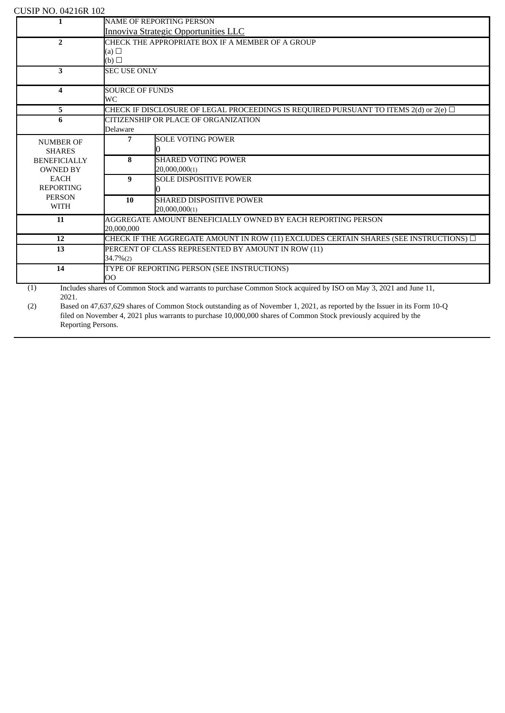| CUSIP NO. 04216R 102 |                                                                                             |                                                                                                                           |  |  |
|----------------------|---------------------------------------------------------------------------------------------|---------------------------------------------------------------------------------------------------------------------------|--|--|
|                      | <b>NAME OF REPORTING PERSON</b>                                                             |                                                                                                                           |  |  |
|                      | <b>Innoviva Strategic Opportunities LLC</b>                                                 |                                                                                                                           |  |  |
| $\overline{2}$       | CHECK THE APPROPRIATE BOX IF A MEMBER OF A GROUP                                            |                                                                                                                           |  |  |
|                      | (a) $\square$                                                                               |                                                                                                                           |  |  |
|                      | (b) $\Box$                                                                                  |                                                                                                                           |  |  |
| 3                    | <b>SEC USE ONLY</b>                                                                         |                                                                                                                           |  |  |
|                      |                                                                                             |                                                                                                                           |  |  |
| 4                    | <b>SOURCE OF FUNDS</b>                                                                      |                                                                                                                           |  |  |
|                      | WC.                                                                                         |                                                                                                                           |  |  |
| 5                    | CHECK IF DISCLOSURE OF LEGAL PROCEEDINGS IS REQUIRED PURSUANT TO ITEMS 2(d) or 2(e) $\Box$  |                                                                                                                           |  |  |
| 6                    | CITIZENSHIP OR PLACE OF ORGANIZATION                                                        |                                                                                                                           |  |  |
|                      | Delaware                                                                                    |                                                                                                                           |  |  |
| <b>NUMBER OF</b>     | 7                                                                                           | <b>SOLE VOTING POWER</b>                                                                                                  |  |  |
| <b>SHARES</b>        |                                                                                             | 0                                                                                                                         |  |  |
| <b>BENEFICIALLY</b>  | 8                                                                                           | <b>SHARED VOTING POWER</b>                                                                                                |  |  |
| <b>OWNED BY</b>      |                                                                                             | 20,000,000(1)                                                                                                             |  |  |
| <b>EACH</b>          | 9                                                                                           | <b>SOLE DISPOSITIVE POWER</b>                                                                                             |  |  |
| <b>REPORTING</b>     |                                                                                             | U                                                                                                                         |  |  |
| <b>PERSON</b>        | 10                                                                                          | <b>SHARED DISPOSITIVE POWER</b>                                                                                           |  |  |
| <b>WITH</b>          |                                                                                             | 20,000,000(1)                                                                                                             |  |  |
| 11                   | AGGREGATE AMOUNT BENEFICIALLY OWNED BY EACH REPORTING PERSON                                |                                                                                                                           |  |  |
|                      | 20.000.000                                                                                  |                                                                                                                           |  |  |
| 12                   | CHECK IF THE AGGREGATE AMOUNT IN ROW (11) EXCLUDES CERTAIN SHARES (SEE INSTRUCTIONS) $\Box$ |                                                                                                                           |  |  |
| 13                   | PERCENT OF CLASS REPRESENTED BY AMOUNT IN ROW (11)                                          |                                                                                                                           |  |  |
|                      | 34.7%(2)                                                                                    |                                                                                                                           |  |  |
| 14                   | TYPE OF REPORTING PERSON (SEE INSTRUCTIONS)                                                 |                                                                                                                           |  |  |
|                      | nn                                                                                          |                                                                                                                           |  |  |
| (1)                  |                                                                                             | Includes shares of Common Stock and warrants to purchase Common Stock acquired by ISO on May 3, 2021 and June 11,         |  |  |
| 2021.                |                                                                                             |                                                                                                                           |  |  |
| (2)                  |                                                                                             | Based on 47,637,629 shares of Common Stock outstanding as of November 1, 2021, as reported by the Issuer in its Form 10-Q |  |  |

filed on November 4, 2021 plus warrants to purchase 10,000,000 shares of Common Stock previously acquired by the Reporting Persons.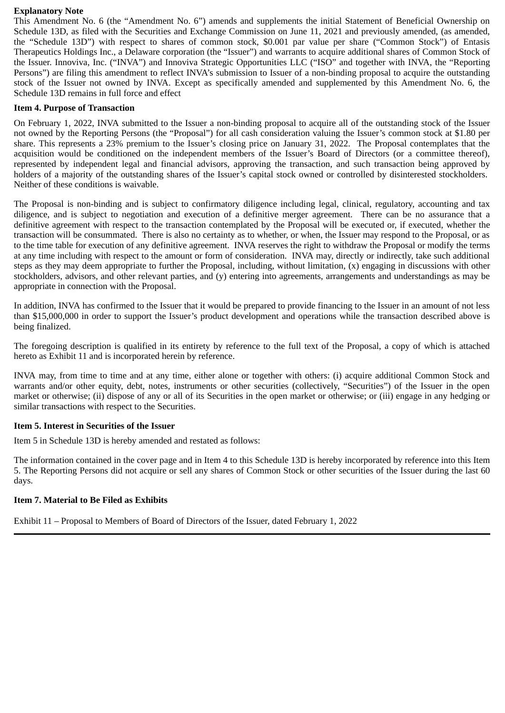#### **Explanatory Note**

This Amendment No. 6 (the "Amendment No. 6") amends and supplements the initial Statement of Beneficial Ownership on Schedule 13D, as filed with the Securities and Exchange Commission on June 11, 2021 and previously amended, (as amended, the "Schedule 13D") with respect to shares of common stock, \$0.001 par value per share ("Common Stock") of Entasis Therapeutics Holdings Inc., a Delaware corporation (the "Issuer") and warrants to acquire additional shares of Common Stock of the Issuer. Innoviva, Inc. ("INVA") and Innoviva Strategic Opportunities LLC ("ISO" and together with INVA, the "Reporting Persons") are filing this amendment to reflect INVA's submission to Issuer of a non-binding proposal to acquire the outstanding stock of the Issuer not owned by INVA. Except as specifically amended and supplemented by this Amendment No. 6, the Schedule 13D remains in full force and effect

#### **Item 4. Purpose of Transaction**

On February 1, 2022, INVA submitted to the Issuer a non-binding proposal to acquire all of the outstanding stock of the Issuer not owned by the Reporting Persons (the "Proposal") for all cash consideration valuing the Issuer's common stock at \$1.80 per share. This represents a 23% premium to the Issuer's closing price on January 31, 2022. The Proposal contemplates that the acquisition would be conditioned on the independent members of the Issuer's Board of Directors (or a committee thereof), represented by independent legal and financial advisors, approving the transaction, and such transaction being approved by holders of a majority of the outstanding shares of the Issuer's capital stock owned or controlled by disinterested stockholders. Neither of these conditions is waivable.

The Proposal is non-binding and is subject to confirmatory diligence including legal, clinical, regulatory, accounting and tax diligence, and is subject to negotiation and execution of a definitive merger agreement. There can be no assurance that a definitive agreement with respect to the transaction contemplated by the Proposal will be executed or, if executed, whether the transaction will be consummated. There is also no certainty as to whether, or when, the Issuer may respond to the Proposal, or as to the time table for execution of any definitive agreement. INVA reserves the right to withdraw the Proposal or modify the terms at any time including with respect to the amount or form of consideration. INVA may, directly or indirectly, take such additional steps as they may deem appropriate to further the Proposal, including, without limitation, (x) engaging in discussions with other stockholders, advisors, and other relevant parties, and (y) entering into agreements, arrangements and understandings as may be appropriate in connection with the Proposal.

In addition, INVA has confirmed to the Issuer that it would be prepared to provide financing to the Issuer in an amount of not less than \$15,000,000 in order to support the Issuer's product development and operations while the transaction described above is being finalized.

The foregoing description is qualified in its entirety by reference to the full text of the Proposal, a copy of which is attached hereto as Exhibit 11 and is incorporated herein by reference.

INVA may, from time to time and at any time, either alone or together with others: (i) acquire additional Common Stock and warrants and/or other equity, debt, notes, instruments or other securities (collectively, "Securities") of the Issuer in the open market or otherwise; (ii) dispose of any or all of its Securities in the open market or otherwise; or (iii) engage in any hedging or similar transactions with respect to the Securities.

### **Item 5. Interest in Securities of the Issuer**

Item 5 in Schedule 13D is hereby amended and restated as follows:

The information contained in the cover page and in Item 4 to this Schedule 13D is hereby incorporated by reference into this Item 5. The Reporting Persons did not acquire or sell any shares of Common Stock or other securities of the Issuer during the last 60 days.

### **Item 7. Material to Be Filed as Exhibits**

Exhibit 11 – Proposal to Members of Board of Directors of the Issuer, dated February 1, 2022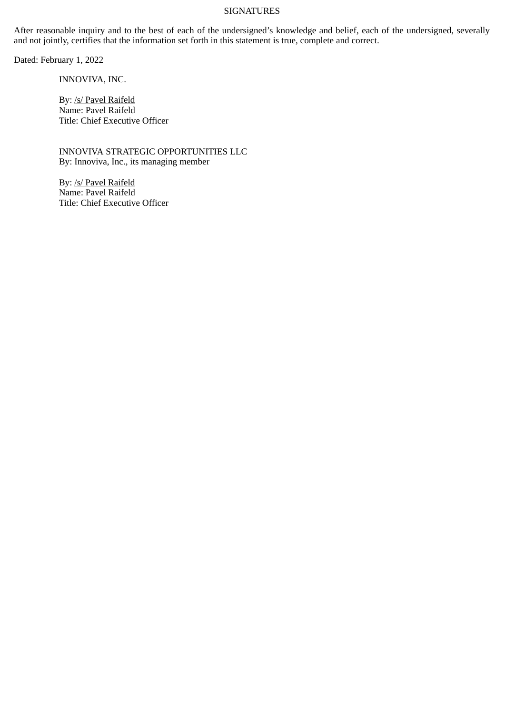#### SIGNATURES

After reasonable inquiry and to the best of each of the undersigned's knowledge and belief, each of the undersigned, severally and not jointly, certifies that the information set forth in this statement is true, complete and correct.

Dated: February 1, 2022

INNOVIVA, INC.

By: /s/ Pavel Raifeld Name: Pavel Raifeld Title: Chief Executive Officer

INNOVIVA STRATEGIC OPPORTUNITIES LLC By: Innoviva, Inc., its managing member

By: /s/ Pavel Raifeld Name: Pavel Raifeld Title: Chief Executive Officer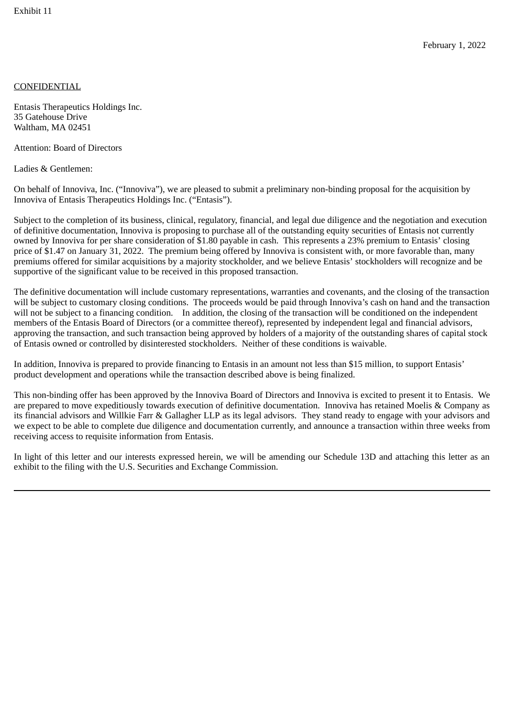#### **CONFIDENTIAL**

Entasis Therapeutics Holdings Inc. 35 Gatehouse Drive Waltham, MA 02451

Attention: Board of Directors

Ladies & Gentlemen:

On behalf of Innoviva, Inc. ("Innoviva"), we are pleased to submit a preliminary non-binding proposal for the acquisition by Innoviva of Entasis Therapeutics Holdings Inc. ("Entasis").

Subject to the completion of its business, clinical, regulatory, financial, and legal due diligence and the negotiation and execution of definitive documentation, Innoviva is proposing to purchase all of the outstanding equity securities of Entasis not currently owned by Innoviva for per share consideration of \$1.80 payable in cash. This represents a 23% premium to Entasis' closing price of \$1.47 on January 31, 2022. The premium being offered by Innoviva is consistent with, or more favorable than, many premiums offered for similar acquisitions by a majority stockholder, and we believe Entasis' stockholders will recognize and be supportive of the significant value to be received in this proposed transaction.

The definitive documentation will include customary representations, warranties and covenants, and the closing of the transaction will be subject to customary closing conditions. The proceeds would be paid through Innoviva's cash on hand and the transaction will not be subject to a financing condition. In addition, the closing of the transaction will be conditioned on the independent members of the Entasis Board of Directors (or a committee thereof), represented by independent legal and financial advisors, approving the transaction, and such transaction being approved by holders of a majority of the outstanding shares of capital stock of Entasis owned or controlled by disinterested stockholders. Neither of these conditions is waivable.

In addition, Innoviva is prepared to provide financing to Entasis in an amount not less than \$15 million, to support Entasis' product development and operations while the transaction described above is being finalized.

This non-binding offer has been approved by the Innoviva Board of Directors and Innoviva is excited to present it to Entasis. We are prepared to move expeditiously towards execution of definitive documentation. Innoviva has retained Moelis & Company as its financial advisors and Willkie Farr & Gallagher LLP as its legal advisors. They stand ready to engage with your advisors and we expect to be able to complete due diligence and documentation currently, and announce a transaction within three weeks from receiving access to requisite information from Entasis.

In light of this letter and our interests expressed herein, we will be amending our Schedule 13D and attaching this letter as an exhibit to the filing with the U.S. Securities and Exchange Commission.